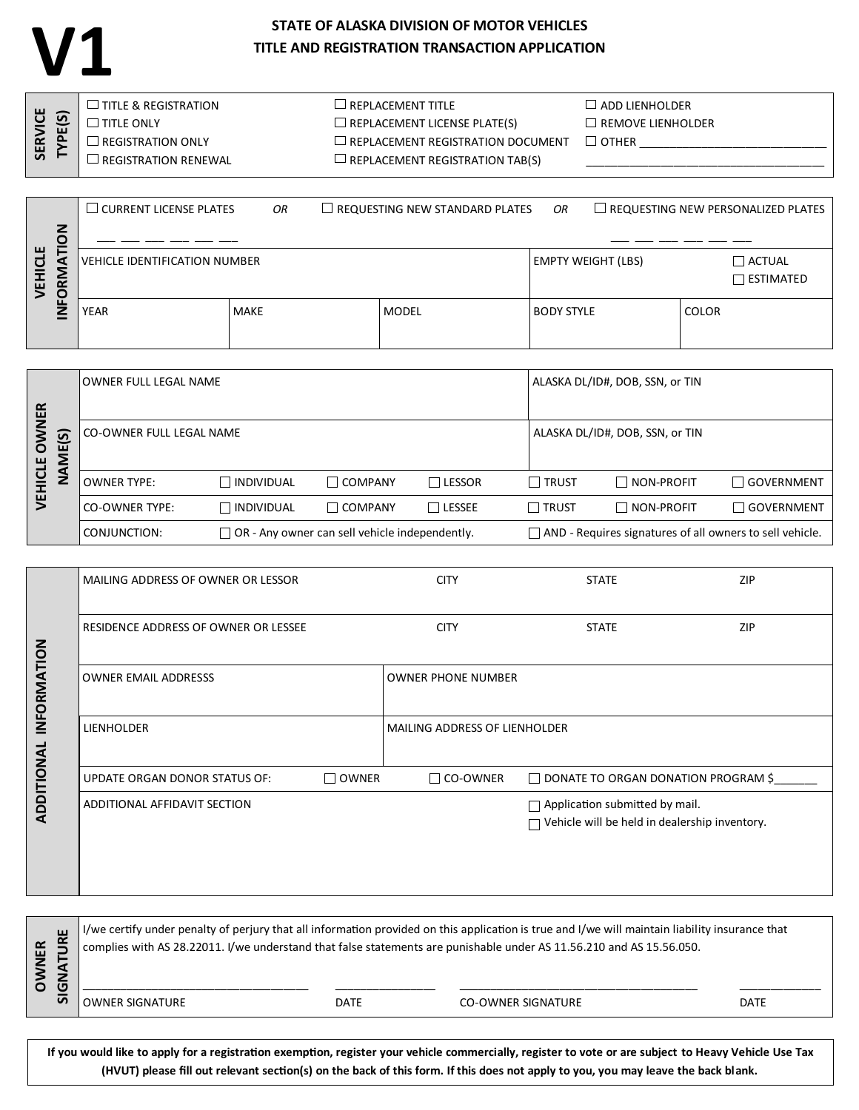## **STATE OF ALASKA DIVISION OF MOTOR VEHICLES TITLE AND REGISTRATION TRANSACTION APPLICATION**

**V1**

| <u>ଞ</u>    | TITLE & REGISTRATION | $\Box$ REPLACEMENT TITLE                 | $\Box$ add lienholder    |
|-------------|----------------------|------------------------------------------|--------------------------|
|             | <b>TITLE ONLY</b>    | $\Box$ REPLACEMENT LICENSE PLATE(S)      | $\Box$ REMOVE LIENHOLDER |
|             | REGISTRATION ONLY    | $\Box$ REPLACEMENT REGISTRATION DOCUMENT | $\sqcup$ other           |
| <b>SERV</b> | REGISTRATION RENEWAL | $\Box$ REPLACEMENT REGISTRATION TAB(S)   |                          |

|        | $\Box$ CURRENT LICENSE PLATES<br>$\Box$ REQUESTING NEW STANDARD PLATES<br>OR |             |  |              |  | OR                |                           |       | $\Box$ REQUESTING NEW PERSONALIZED PLATES |
|--------|------------------------------------------------------------------------------|-------------|--|--------------|--|-------------------|---------------------------|-------|-------------------------------------------|
| z<br>ш |                                                                              |             |  |              |  |                   |                           |       |                                           |
| ರ<br>⋛ | <b>VEHICLE IDENTIFICATION NUMBER</b>                                         |             |  |              |  |                   | <b>EMPTY WEIGHT (LBS)</b> |       | $\sqcap$ actual<br><b>ESTIMATED</b>       |
| ÿ<br>c |                                                                              |             |  |              |  |                   |                           |       |                                           |
|        | YEAR                                                                         | <b>MAKE</b> |  | <b>MODEL</b> |  | <b>BODY STYLE</b> |                           | COLOR |                                           |
|        |                                                                              |             |  |              |  |                   |                           |       |                                           |

|                                                  | OWNER FULL LEGAL NAME                                                 |                   |                |               |              | ALASKA DL/ID#, DOB, SSN, or TIN                                 |                     |  |
|--------------------------------------------------|-----------------------------------------------------------------------|-------------------|----------------|---------------|--------------|-----------------------------------------------------------------|---------------------|--|
| <b>NER</b><br>$\overline{\Omega}$<br>O<br>ш<br>- | CO-OWNER FULL LEGAL NAME                                              |                   |                |               |              | ALASKA DL/ID#, DOB, SSN, or TIN                                 |                     |  |
| HU<br>ទី<br>–                                    | <b>OWNER TYPE:</b>                                                    | $\Box$ INDIVIDUAL | $\Box$ COMPANY | <b>LESSOR</b> | $\Box$ trust | NON-PROFIT                                                      | $\Box$ GOVERNMENT   |  |
| ⅀                                                | CO-OWNER TYPE:                                                        | $\Box$ INDIVIDUAL | $\Box$ COMPANY | $\Box$ LESSEE | $\Box$ trust | $\Box$ Non-profit                                               | $\sqcap$ GOVERNMENT |  |
|                                                  | $\Box$ OR - Any owner can sell vehicle independently.<br>CONJUNCTION: |                   |                |               |              | $\Box$ AND - Requires signatures of all owners to sell vehicle. |                     |  |

|             | MAILING ADDRESS OF OWNER OR LESSOR   |                           | <b>CITY</b>                   | <b>STATE</b>                                                                                  | ZIP |  |
|-------------|--------------------------------------|---------------------------|-------------------------------|-----------------------------------------------------------------------------------------------|-----|--|
|             | RESIDENCE ADDRESS OF OWNER OR LESSEE |                           | <b>CITY</b>                   | <b>STATE</b>                                                                                  | ZIP |  |
| INFORMATION | <b>OWNER EMAIL ADDRESSS</b>          | <b>OWNER PHONE NUMBER</b> |                               |                                                                                               |     |  |
|             | <b>LIENHOLDER</b>                    |                           | MAILING ADDRESS OF LIENHOLDER |                                                                                               |     |  |
|             | <b>UPDATE ORGAN DONOR STATUS OF:</b> | <b>OWNER</b>              | $\Box$ CO-OWNER               | $\Box$ DONATE TO ORGAN DONATION PROGRAM \$                                                    |     |  |
| ADDITIONAL  | ADDITIONAL AFFIDAVIT SECTION         |                           |                               | $\Box$ Application submitted by mail.<br>$\Box$ Vehicle will be held in dealership inventory. |     |  |
|             |                                      |                           |                               |                                                                                               |     |  |

| ш<br>E<br>$\circ$<br>O |                        |      | I/we certify under penalty of perjury that all information provided on this application is true and I/we will maintain liability insurance that<br>complies with AS 28.22011. I/we understand that false statements are punishable under AS 11.56.210 and AS 15.56.050. |      |
|------------------------|------------------------|------|-------------------------------------------------------------------------------------------------------------------------------------------------------------------------------------------------------------------------------------------------------------------------|------|
| <u>ශ</u>               | <b>OWNER SIGNATURE</b> | DATE | CO-OWNER SIGNATURE                                                                                                                                                                                                                                                      | DATE |

**If you would like to apply for a registration exemption, register your vehicle commercially, register to vote or are subject to Heavy Vehicle Use Tax (HVUT) please fill out relevant section(s) on the back of this form. If this does not apply to you, you may leave the back blank.**